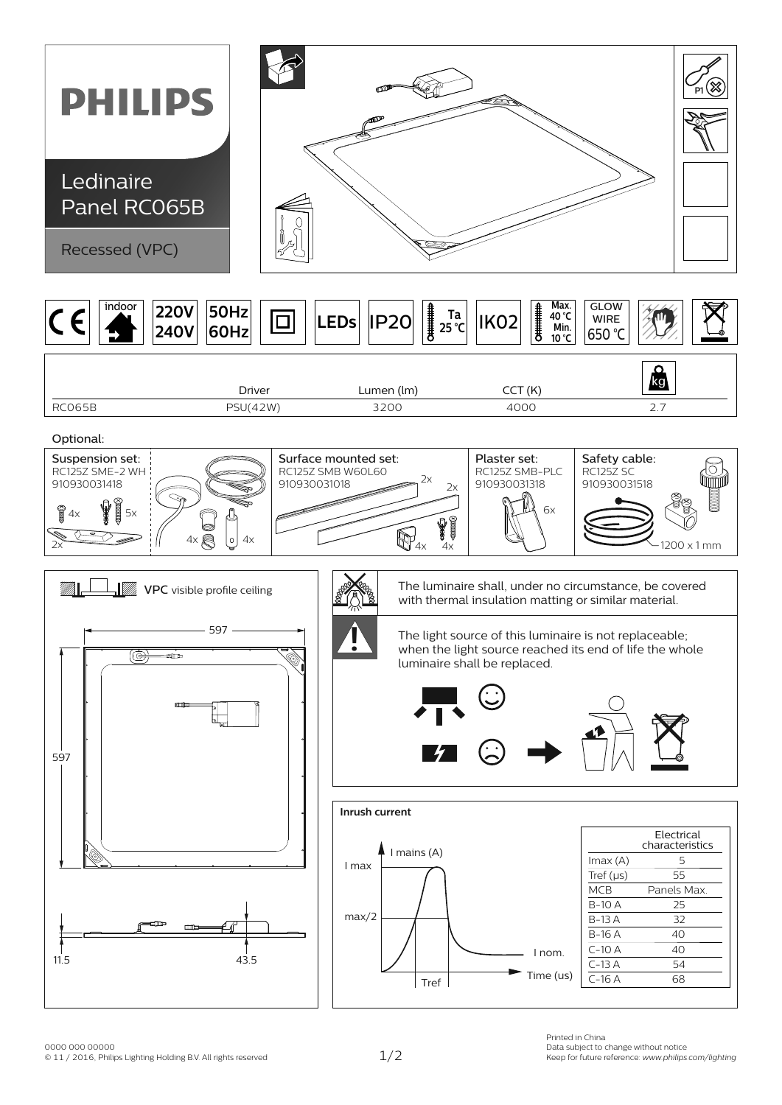